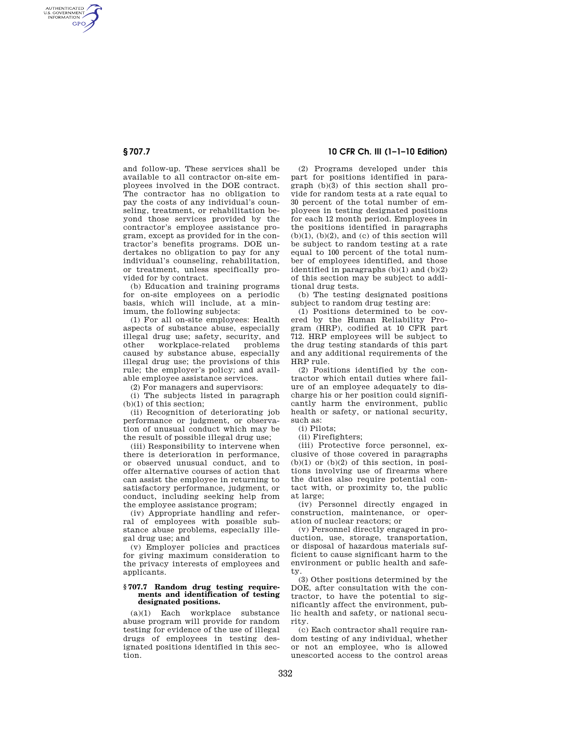AUTHENTICATED<br>U.S. GOVERNMENT<br>INFORMATION **GPO** 

> and follow-up. These services shall be available to all contractor on-site employees involved in the DOE contract. The contractor has no obligation to pay the costs of any individual's counseling, treatment, or rehabilitation beyond those services provided by the contractor's employee assistance program, except as provided for in the contractor's benefits programs. DOE undertakes no obligation to pay for any individual's counseling, rehabilitation, or treatment, unless specifically provided for by contract.

> (b) Education and training programs for on-site employees on a periodic basis, which will include, at a minimum, the following subjects:

(1) For all on-site employees: Health aspects of substance abuse, especially illegal drug use; safety, security, and other workplace-related problems caused by substance abuse, especially illegal drug use; the provisions of this rule; the employer's policy; and available employee assistance services.

(2) For managers and supervisors:

(i) The subjects listed in paragraph (b)(1) of this section;

(ii) Recognition of deteriorating job performance or judgment, or observation of unusual conduct which may be the result of possible illegal drug use;

(iii) Responsibility to intervene when there is deterioration in performance, or observed unusual conduct, and to offer alternative courses of action that can assist the employee in returning to satisfactory performance, judgment, or conduct, including seeking help from the employee assistance program;

(iv) Appropriate handling and referral of employees with possible substance abuse problems, especially illegal drug use; and

(v) Employer policies and practices for giving maximum consideration to the privacy interests of employees and applicants.

#### **§ 707.7 Random drug testing requirements and identification of testing designated positions.**

(a)(1) Each workplace substance abuse program will provide for random testing for evidence of the use of illegal drugs of employees in testing designated positions identified in this section.

# **§ 707.7 10 CFR Ch. III (1–1–10 Edition)**

(2) Programs developed under this part for positions identified in paragraph (b)(3) of this section shall provide for random tests at a rate equal to 30 percent of the total number of employees in testing designated positions for each 12 month period. Employees in the positions identified in paragraphs  $(b)(1)$ ,  $(b)(2)$ , and  $(c)$  of this section will be subject to random testing at a rate equal to 100 percent of the total number of employees identified, and those identified in paragraphs (b)(1) and (b)(2) of this section may be subject to additional drug tests.

(b) The testing designated positions subject to random drug testing are:

(1) Positions determined to be covered by the Human Reliability Program (HRP), codified at 10 CFR part 712. HRP employees will be subject to the drug testing standards of this part and any additional requirements of the HRP rule.

(2) Positions identified by the contractor which entail duties where failure of an employee adequately to discharge his or her position could significantly harm the environment, public health or safety, or national security, such as:

(i) Pilots;

(ii) Firefighters;

(iii) Protective force personnel, exclusive of those covered in paragraphs  $(b)(1)$  or  $(b)(2)$  of this section, in positions involving use of firearms where the duties also require potential contact with, or proximity to, the public at large;

(iv) Personnel directly engaged in construction, maintenance, or operation of nuclear reactors; or

(v) Personnel directly engaged in production, use, storage, transportation, or disposal of hazardous materials sufficient to cause significant harm to the environment or public health and safety.

(3) Other positions determined by the DOE, after consultation with the contractor, to have the potential to significantly affect the environment, public health and safety, or national security.

(c) Each contractor shall require random testing of any individual, whether or not an employee, who is allowed unescorted access to the control areas